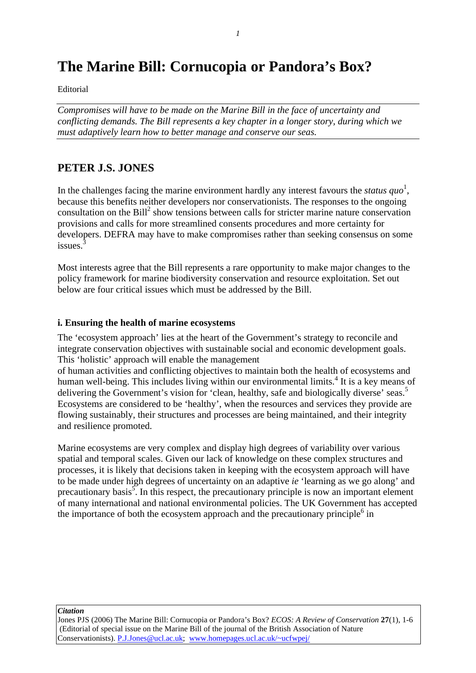# **The Marine Bill: Cornucopia or Pandora's Box?**

Editorial

*Compromises will have to be made on the Marine Bill in the face of uncertainty and conflicting demands. The Bill represents a key chapter in a longer story, during which we must adaptively learn how to better manage and conserve our seas.*

## **PETER J.S. JONES**

In the challenges facing the marine environment hardly any interest favours the *status quo*<sup>1</sup>, because this benefits neither developers nor conservationists. The responses to the ongoing consultation on the Bill<sup>2</sup> show tensions between calls for stricter marine nature conservation provisions and calls for more streamlined consents procedures and more certainty for developers. DEFRA may have to make compromises rather than seeking consensus on some issues.<sup>3</sup>

Most interests agree that the Bill represents a rare opportunity to make major changes to the policy framework for marine biodiversity conservation and resource exploitation. Set out below are four critical issues which must be addressed by the Bill.

### **i. Ensuring the health of marine ecosystems**

The 'ecosystem approach' lies at the heart of the Government's strategy to reconcile and integrate conservation objectives with sustainable social and economic development goals. This 'holistic' approach will enable the management

of human activities and conflicting objectives to maintain both the health of ecosystems and human well-being. This includes living within our environmental limits.<sup>4</sup> It is a key means of delivering the Government's vision for 'clean, healthy, safe and biologically diverse' seas.<sup>5</sup> Ecosystems are considered to be 'healthy', when the resources and services they provide are flowing sustainably, their structures and processes are being maintained, and their integrity and resilience promoted.

Marine ecosystems are very complex and display high degrees of variability over various spatial and temporal scales. Given our lack of knowledge on these complex structures and processes, it is likely that decisions taken in keeping with the ecosystem approach will have to be made under high degrees of uncertainty on an adaptive *ie* 'learning as we go along' and precautionary basis<sup>5</sup>. In this respect, the precautionary principle is now an important element of many international and national environmental policies. The UK Government has accepted the importance of both the ecosystem approach and the precautionary principle $6$  in

*Citation*

Jones PJS (2006) The Marine Bill: Cornucopia or Pandora's Box? *ECOS: A Review of Conservation* **27**(1), 1-6 (Editorial of special issue on the Marine Bill of the journal of the British Association of Nature Conservationists). P.J.Jones@ucl.ac.uk; www.homepages.ucl.ac.uk/~ucfwpej/

*1*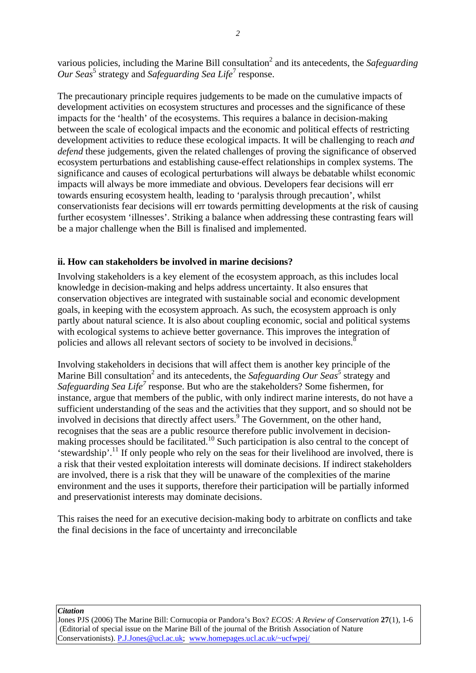various policies, including the Marine Bill consultation<sup>2</sup> and its antecedents, the *Safeguarding Our Seas*<sup>5</sup> strategy and *Safeguarding Sea Life*<sup>7</sup> response.

The precautionary principle requires judgements to be made on the cumulative impacts of development activities on ecosystem structures and processes and the significance of these impacts for the 'health' of the ecosystems. This requires a balance in decision-making between the scale of ecological impacts and the economic and political effects of restricting development activities to reduce these ecological impacts. It will be challenging to reach *and defend* these judgements, given the related challenges of proving the significance of observed ecosystem perturbations and establishing cause-effect relationships in complex systems. The significance and causes of ecological perturbations will always be debatable whilst economic impacts will always be more immediate and obvious. Developers fear decisions will err towards ensuring ecosystem health, leading to 'paralysis through precaution', whilst conservationists fear decisions will err towards permitting developments at the risk of causing further ecosystem 'illnesses'. Striking a balance when addressing these contrasting fears will be a major challenge when the Bill is finalised and implemented.

## **ii. How can stakeholders be involved in marine decisions?**

Involving stakeholders is a key element of the ecosystem approach, as this includes local knowledge in decision-making and helps address uncertainty. It also ensures that conservation objectives are integrated with sustainable social and economic development goals, in keeping with the ecosystem approach. As such, the ecosystem approach is only partly about natural science. It is also about coupling economic, social and political systems with ecological systems to achieve better governance. This improves the integration of policies and allows all relevant sectors of society to be involved in decisions.<sup>8</sup>

Involving stakeholders in decisions that will affect them is another key principle of the Marine Bill consultation<sup>2</sup> and its antecedents, the *Safeguarding Our Seas*<sup>5</sup> strategy and Safeguarding Sea Life<sup>7</sup> response. But who are the stakeholders? Some fishermen, for instance, argue that members of the public, with only indirect marine interests, do not have a sufficient understanding of the seas and the activities that they support, and so should not be involved in decisions that directly affect users.<sup>9</sup> The Government, on the other hand, recognises that the seas are a public resource therefore public involvement in decisionmaking processes should be facilitated.<sup>10</sup> Such participation is also central to the concept of 'stewardship'.11 If only people who rely on the seas for their livelihood are involved, there is a risk that their vested exploitation interests will dominate decisions. If indirect stakeholders are involved, there is a risk that they will be unaware of the complexities of the marine environment and the uses it supports, therefore their participation will be partially informed and preservationist interests may dominate decisions.

This raises the need for an executive decision-making body to arbitrate on conflicts and take the final decisions in the face of uncertainty and irreconcilable

*Citation*

Jones PJS (2006) The Marine Bill: Cornucopia or Pandora's Box? *ECOS: A Review of Conservation* **27**(1), 1-6 (Editorial of special issue on the Marine Bill of the journal of the British Association of Nature Conservationists). P.J.Jones@ucl.ac.uk; www.homepages.ucl.ac.uk/~ucfwpej/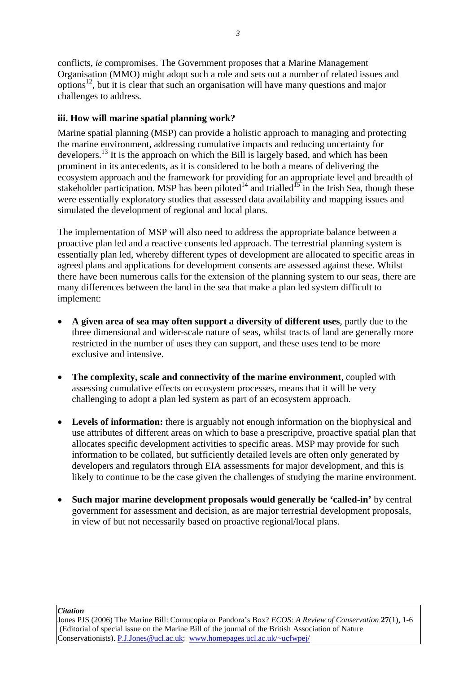conflicts, *ie* compromises. The Government proposes that a Marine Management Organisation (MMO) might adopt such a role and sets out a number of related issues and options<sup>12</sup>, but it is clear that such an organisation will have many questions and major challenges to address.

## **iii. How will marine spatial planning work?**

Marine spatial planning (MSP) can provide a holistic approach to managing and protecting the marine environment, addressing cumulative impacts and reducing uncertainty for developers.13 It is the approach on which the Bill is largely based, and which has been prominent in its antecedents, as it is considered to be both a means of delivering the ecosystem approach and the framework for providing for an appropriate level and breadth of stakeholder participation. MSP has been piloted<sup>14</sup> and trialled<sup>15</sup> in the Irish Sea, though these were essentially exploratory studies that assessed data availability and mapping issues and simulated the development of regional and local plans.

The implementation of MSP will also need to address the appropriate balance between a proactive plan led and a reactive consents led approach. The terrestrial planning system is essentially plan led, whereby different types of development are allocated to specific areas in agreed plans and applications for development consents are assessed against these. Whilst there have been numerous calls for the extension of the planning system to our seas, there are many differences between the land in the sea that make a plan led system difficult to implement:

- **A given area of sea may often support a diversity of different uses**, partly due to the three dimensional and wider-scale nature of seas, whilst tracts of land are generally more restricted in the number of uses they can support, and these uses tend to be more exclusive and intensive.
- **The complexity, scale and connectivity of the marine environment**, coupled with assessing cumulative effects on ecosystem processes, means that it will be very challenging to adopt a plan led system as part of an ecosystem approach.
- Levels of information: there is arguably not enough information on the biophysical and use attributes of different areas on which to base a prescriptive, proactive spatial plan that allocates specific development activities to specific areas. MSP may provide for such information to be collated, but sufficiently detailed levels are often only generated by developers and regulators through EIA assessments for major development, and this is likely to continue to be the case given the challenges of studying the marine environment.
- **Such major marine development proposals would generally be 'called-in'** by central government for assessment and decision, as are major terrestrial development proposals, in view of but not necessarily based on proactive regional/local plans.

*Citation*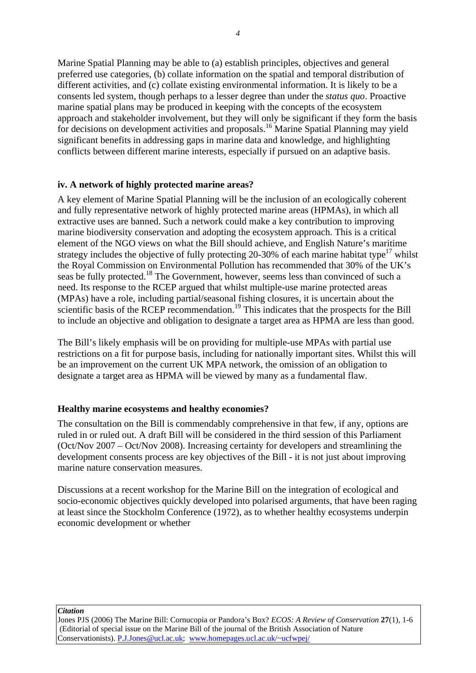Marine Spatial Planning may be able to (a) establish principles, objectives and general preferred use categories, (b) collate information on the spatial and temporal distribution of different activities, and (c) collate existing environmental information. It is likely to be a consents led system, though perhaps to a lesser degree than under the *status quo*. Proactive marine spatial plans may be produced in keeping with the concepts of the ecosystem approach and stakeholder involvement, but they will only be significant if they form the basis for decisions on development activities and proposals.<sup>16</sup> Marine Spatial Planning may yield significant benefits in addressing gaps in marine data and knowledge, and highlighting conflicts between different marine interests, especially if pursued on an adaptive basis.

## **iv. A network of highly protected marine areas?**

A key element of Marine Spatial Planning will be the inclusion of an ecologically coherent and fully representative network of highly protected marine areas (HPMAs), in which all extractive uses are banned. Such a network could make a key contribution to improving marine biodiversity conservation and adopting the ecosystem approach. This is a critical element of the NGO views on what the Bill should achieve, and English Nature's maritime strategy includes the objective of fully protecting 20-30% of each marine habitat type<sup>17</sup> whilst the Royal Commission on Environmental Pollution has recommended that 30% of the UK's seas be fully protected.<sup>18</sup> The Government, however, seems less than convinced of such a need. Its response to the RCEP argued that whilst multiple-use marine protected areas (MPAs) have a role, including partial/seasonal fishing closures, it is uncertain about the scientific basis of the RCEP recommendation.<sup>19</sup> This indicates that the prospects for the Bill to include an objective and obligation to designate a target area as HPMA are less than good.

The Bill's likely emphasis will be on providing for multiple-use MPAs with partial use restrictions on a fit for purpose basis, including for nationally important sites. Whilst this will be an improvement on the current UK MPA network, the omission of an obligation to designate a target area as HPMA will be viewed by many as a fundamental flaw.

## **Healthy marine ecosystems and healthy economies?**

The consultation on the Bill is commendably comprehensive in that few, if any, options are ruled in or ruled out. A draft Bill will be considered in the third session of this Parliament (Oct/Nov 2007 – Oct/Nov 2008). Increasing certainty for developers and streamlining the development consents process are key objectives of the Bill - it is not just about improving marine nature conservation measures.

Discussions at a recent workshop for the Marine Bill on the integration of ecological and socio-economic objectives quickly developed into polarised arguments, that have been raging at least since the Stockholm Conference (1972), as to whether healthy ecosystems underpin economic development or whether

*Citation*

Jones PJS (2006) The Marine Bill: Cornucopia or Pandora's Box? *ECOS: A Review of Conservation* **27**(1), 1-6 (Editorial of special issue on the Marine Bill of the journal of the British Association of Nature Conservationists). P.J.Jones@ucl.ac.uk; www.homepages.ucl.ac.uk/~ucfwpej/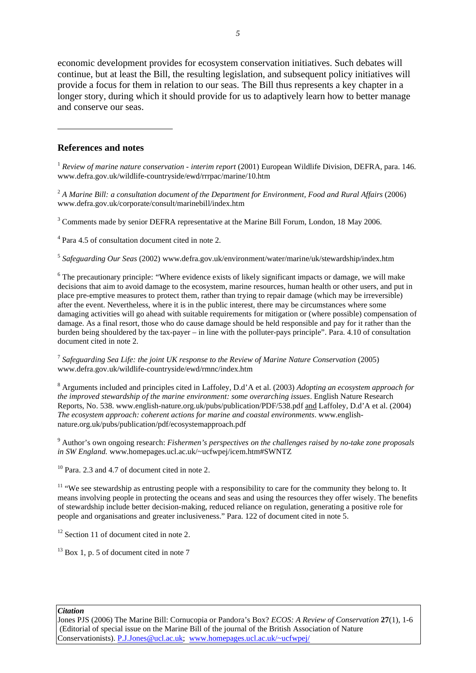economic development provides for ecosystem conservation initiatives. Such debates will continue, but at least the Bill, the resulting legislation, and subsequent policy initiatives will provide a focus for them in relation to our seas. The Bill thus represents a key chapter in a longer story, during which it should provide for us to adaptively learn how to better manage and conserve our seas.

#### **References and notes**

-

<sup>1</sup> *Review of marine nature conservation - interim report* (2001) European Wildlife Division, DEFRA, para. 146. www.defra.gov.uk/wildlife-countryside/ewd/rrrpac/marine/10.htm

<sup>2</sup> *A Marine Bill: a consultation document of the Department for Environment, Food and Rural Affairs* (2006) www.defra.gov.uk/corporate/consult/marinebill/index.htm

 $3$  Comments made by senior DEFRA representative at the Marine Bill Forum, London, 18 May 2006.

<sup>4</sup> Para 4.5 of consultation document cited in note 2.

<sup>5</sup> *Safeguarding Our Seas* (2002) www.defra.gov.uk/environment/water/marine/uk/stewardship/index.htm

<sup>6</sup> The precautionary principle: "Where evidence exists of likely significant impacts or damage, we will make decisions that aim to avoid damage to the ecosystem, marine resources, human health or other users, and put in place pre-emptive measures to protect them, rather than trying to repair damage (which may be irreversible) after the event. Nevertheless, where it is in the public interest, there may be circumstances where some damaging activities will go ahead with suitable requirements for mitigation or (where possible) compensation of damage. As a final resort, those who do cause damage should be held responsible and pay for it rather than the burden being shouldered by the tax-payer – in line with the polluter-pays principle". Para. 4.10 of consultation document cited in note 2.

<sup>7</sup> *Safeguarding Sea Life: the joint UK response to the Review of Marine Nature Conservation* (2005) www.defra.gov.uk/wildlife-countryside/ewd/rmnc/index.htm

<sup>8</sup> Arguments included and principles cited in Laffoley, D.d'A et al. (2003) *Adopting an ecosystem approach for the improved stewardship of the marine environment: some overarching issues*. English Nature Research Reports, No. 538. www.english-nature.org.uk/pubs/publication/PDF/538.pdf and Laffoley, D.d'A et al. (2004) *The ecosystem approach: coherent actions for marine and coastal environments*. www.englishnature.org.uk/pubs/publication/pdf/ecosystemapproach.pdf

9 Author's own ongoing research: *Fishermen's perspectives on the challenges raised by no-take zone proposals in SW England.* www.homepages.ucl.ac.uk/~ucfwpej/icem.htm#SWNTZ

 $10$  Para. 2.3 and 4.7 of document cited in note 2.

<sup>11</sup> "We see stewardship as entrusting people with a responsibility to care for the community they belong to. It means involving people in protecting the oceans and seas and using the resources they offer wisely. The benefits of stewardship include better decision-making, reduced reliance on regulation, generating a positive role for people and organisations and greater inclusiveness." Para. 122 of document cited in note 5.

 $12$  Section 11 of document cited in note 2.

 $13$  Box 1, p. 5 of document cited in note 7

#### *Citation*

Jones PJS (2006) The Marine Bill: Cornucopia or Pandora's Box? *ECOS: A Review of Conservation* **27**(1), 1-6 (Editorial of special issue on the Marine Bill of the journal of the British Association of Nature Conservationists). P.J.Jones@ucl.ac.uk; www.homepages.ucl.ac.uk/~ucfwpej/